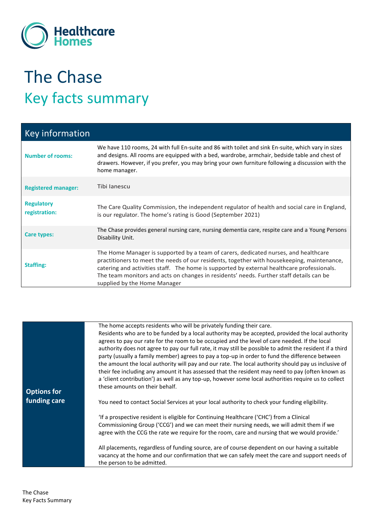

## The Chase Key facts summary

| <b>Key information</b>             |                                                                                                                                                                                                                                                                                                                                                                                                            |
|------------------------------------|------------------------------------------------------------------------------------------------------------------------------------------------------------------------------------------------------------------------------------------------------------------------------------------------------------------------------------------------------------------------------------------------------------|
| <b>Number of rooms:</b>            | We have 110 rooms, 24 with full En-suite and 86 with toilet and sink En-suite, which vary in sizes<br>and designs. All rooms are equipped with a bed, wardrobe, armchair, bedside table and chest of<br>drawers. However, if you prefer, you may bring your own furniture following a discussion with the<br>home manager.                                                                                 |
| <b>Registered manager:</b>         | Tibi Janescu                                                                                                                                                                                                                                                                                                                                                                                               |
| <b>Regulatory</b><br>registration: | The Care Quality Commission, the independent regulator of health and social care in England,<br>is our regulator. The home's rating is Good (September 2021)                                                                                                                                                                                                                                               |
| Care types:                        | The Chase provides general nursing care, nursing dementia care, respite care and a Young Persons<br>Disability Unit.                                                                                                                                                                                                                                                                                       |
| <b>Staffing:</b>                   | The Home Manager is supported by a team of carers, dedicated nurses, and healthcare<br>practitioners to meet the needs of our residents, together with housekeeping, maintenance,<br>catering and activities staff. The home is supported by external healthcare professionals.<br>The team monitors and acts on changes in residents' needs. Further staff details can be<br>supplied by the Home Manager |

| <b>Options for</b><br>funding care | The home accepts residents who will be privately funding their care.<br>Residents who are to be funded by a local authority may be accepted, provided the local authority<br>agrees to pay our rate for the room to be occupied and the level of care needed. If the local<br>authority does not agree to pay our full rate, it may still be possible to admit the resident if a third<br>party (usually a family member) agrees to pay a top-up in order to fund the difference between<br>the amount the local authority will pay and our rate. The local authority should pay us inclusive of<br>their fee including any amount it has assessed that the resident may need to pay (often known as<br>a 'client contribution') as well as any top-up, however some local authorities require us to collect |
|------------------------------------|--------------------------------------------------------------------------------------------------------------------------------------------------------------------------------------------------------------------------------------------------------------------------------------------------------------------------------------------------------------------------------------------------------------------------------------------------------------------------------------------------------------------------------------------------------------------------------------------------------------------------------------------------------------------------------------------------------------------------------------------------------------------------------------------------------------|
|                                    | these amounts on their behalf.<br>You need to contact Social Services at your local authority to check your funding eligibility.                                                                                                                                                                                                                                                                                                                                                                                                                                                                                                                                                                                                                                                                             |
|                                    | 'If a prospective resident is eligible for Continuing Healthcare ('CHC') from a Clinical<br>Commissioning Group ('CCG') and we can meet their nursing needs, we will admit them if we<br>agree with the CCG the rate we require for the room, care and nursing that we would provide.'                                                                                                                                                                                                                                                                                                                                                                                                                                                                                                                       |
|                                    | All placements, regardless of funding source, are of course dependent on our having a suitable<br>vacancy at the home and our confirmation that we can safely meet the care and support needs of<br>the person to be admitted.                                                                                                                                                                                                                                                                                                                                                                                                                                                                                                                                                                               |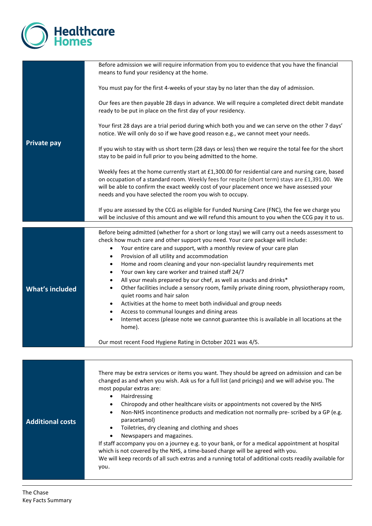

| Before admission we will require information from you to evidence that you have the financial<br>means to fund your residency at the home.                                                                                                                                                                                                                                                                                                                                                                                                                                                                                                                                                                                                                                                                                                                                                                                                                                                                                                             |
|--------------------------------------------------------------------------------------------------------------------------------------------------------------------------------------------------------------------------------------------------------------------------------------------------------------------------------------------------------------------------------------------------------------------------------------------------------------------------------------------------------------------------------------------------------------------------------------------------------------------------------------------------------------------------------------------------------------------------------------------------------------------------------------------------------------------------------------------------------------------------------------------------------------------------------------------------------------------------------------------------------------------------------------------------------|
| You must pay for the first 4-weeks of your stay by no later than the day of admission.                                                                                                                                                                                                                                                                                                                                                                                                                                                                                                                                                                                                                                                                                                                                                                                                                                                                                                                                                                 |
| Our fees are then payable 28 days in advance. We will require a completed direct debit mandate<br>ready to be put in place on the first day of your residency.                                                                                                                                                                                                                                                                                                                                                                                                                                                                                                                                                                                                                                                                                                                                                                                                                                                                                         |
| Your first 28 days are a trial period during which both you and we can serve on the other 7 days'<br>notice. We will only do so if we have good reason e.g., we cannot meet your needs.                                                                                                                                                                                                                                                                                                                                                                                                                                                                                                                                                                                                                                                                                                                                                                                                                                                                |
| If you wish to stay with us short term (28 days or less) then we require the total fee for the short<br>stay to be paid in full prior to you being admitted to the home.                                                                                                                                                                                                                                                                                                                                                                                                                                                                                                                                                                                                                                                                                                                                                                                                                                                                               |
| Weekly fees at the home currently start at £1,300.00 for residential care and nursing care, based<br>on occupation of a standard room. Weekly fees for respite (short term) stays are £1,391.00. We<br>will be able to confirm the exact weekly cost of your placement once we have assessed your<br>needs and you have selected the room you wish to occupy.                                                                                                                                                                                                                                                                                                                                                                                                                                                                                                                                                                                                                                                                                          |
| If you are assessed by the CCG as eligible for Funded Nursing Care (FNC), the fee we charge you<br>will be inclusive of this amount and we will refund this amount to you when the CCG pay it to us.                                                                                                                                                                                                                                                                                                                                                                                                                                                                                                                                                                                                                                                                                                                                                                                                                                                   |
| Before being admitted (whether for a short or long stay) we will carry out a needs assessment to<br>check how much care and other support you need. Your care package will include:<br>Your entire care and support, with a monthly review of your care plan<br>$\bullet$<br>Provision of all utility and accommodation<br>$\bullet$<br>Home and room cleaning and your non-specialist laundry requirements met<br>$\bullet$<br>Your own key care worker and trained staff 24/7<br>$\bullet$<br>All your meals prepared by our chef, as well as snacks and drinks*<br>$\bullet$<br>Other facilities include a sensory room, family private dining room, physiotherapy room,<br>$\bullet$<br>quiet rooms and hair salon<br>Activities at the home to meet both individual and group needs<br>$\bullet$<br>Access to communal lounges and dining areas<br>$\bullet$<br>Internet access (please note we cannot guarantee this is available in all locations at the<br>$\bullet$<br>home).<br>Our most recent Food Hygiene Rating in October 2021 was 4/5. |
|                                                                                                                                                                                                                                                                                                                                                                                                                                                                                                                                                                                                                                                                                                                                                                                                                                                                                                                                                                                                                                                        |
| There may be extra services or items you want. They should be agreed on admission and can be<br>changed as and when you wish. Ask us for a full list (and pricings) and we will advise you. The<br>most popular extras are:<br>Hairdressing<br>$\bullet$<br>Chiropody and other healthcare visits or appointments not covered by the NHS<br>$\bullet$<br>Non-NHS incontinence products and medication not normally pre- scribed by a GP (e.g.<br>$\bullet$<br>paracetamol)<br>Toiletries, dry cleaning and clothing and shoes<br>$\bullet$<br>Newspapers and magazines.<br>If staff accompany you on a journey e.g. to your bank, or for a medical appointment at hospital<br>which is not covered by the NHS, a time-based charge will be agreed with you.<br>We will keep records of all such extras and a running total of additional costs readily available for<br>you.                                                                                                                                                                           |
|                                                                                                                                                                                                                                                                                                                                                                                                                                                                                                                                                                                                                                                                                                                                                                                                                                                                                                                                                                                                                                                        |